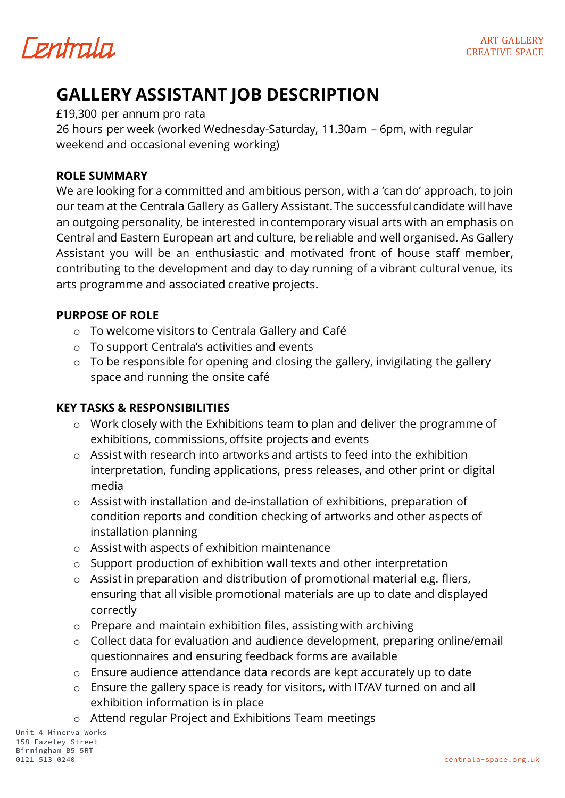*Fentrala* 

## **GALLERY ASSISTANT JOB DESCRIPTION**

£19,300 per annum pro rata

26 hours per week (worked Wednesday-Saturday, 11.30am – 6pm, with regular weekend and occasional evening working)

#### **ROLE SUMMARY**

We are looking for a committed and ambitious person, with a 'can do' approach, to join our team at the Centrala Gallery as Gallery Assistant.The successful candidate will have an outgoing personality, be interested in contemporary visual arts with an emphasis on Central and Eastern European art and culture, be reliable and well organised. As Gallery Assistant you will be an enthusiastic and motivated front of house staff member, contributing to the development and day to day running of a vibrant cultural venue, its arts programme and associated creative projects.

#### **PURPOSE OF ROLE**

- o To welcome visitors to Centrala Gallery and Café
- o To support Centrala's activities and events
- $\circ$  To be responsible for opening and closing the gallery, invigilating the gallery space and running the onsite café

#### **KEY TASKS & RESPONSIBILITIES**

- o Work closely with the Exhibitions team to plan and deliver the programme of exhibitions, commissions, offsite projects and events
- o Assist with research into artworks and artists to feed into the exhibition interpretation, funding applications, press releases, and other print or digital media
- o Assist with installation and de-installation of exhibitions, preparation of condition reports and condition checking of artworks and other aspects of installation planning
- o Assist with aspects of exhibition maintenance
- o Support production of exhibition wall texts and other interpretation
- o Assist in preparation and distribution of promotional material e.g. fliers, ensuring that all visible promotional materials are up to date and displayed correctly
- o Prepare and maintain exhibition files, assisting with archiving
- o Collect data for evaluation and audience development, preparing online/email questionnaires and ensuring feedback forms are available
- o Ensure audience attendance data records are kept accurately up to date
- o Ensure the gallery space is ready for visitors, with IT/AV turned on and all exhibition information is in place
- o Attend regular Project and Exhibitions Team meetings